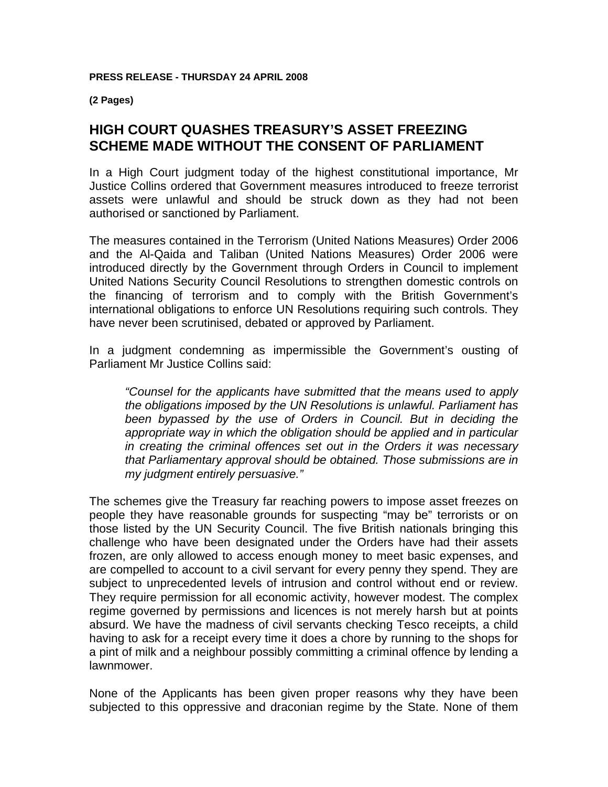**(2 Pages)** 

## **HIGH COURT QUASHES TREASURY'S ASSET FREEZING SCHEME MADE WITHOUT THE CONSENT OF PARLIAMENT**

In a High Court judgment today of the highest constitutional importance, Mr Justice Collins ordered that Government measures introduced to freeze terrorist assets were unlawful and should be struck down as they had not been authorised or sanctioned by Parliament.

The measures contained in the Terrorism (United Nations Measures) Order 2006 and the Al-Qaida and Taliban (United Nations Measures) Order 2006 were introduced directly by the Government through Orders in Council to implement United Nations Security Council Resolutions to strengthen domestic controls on the financing of terrorism and to comply with the British Government's international obligations to enforce UN Resolutions requiring such controls. They have never been scrutinised, debated or approved by Parliament.

In a judgment condemning as impermissible the Government's ousting of Parliament Mr Justice Collins said:

*"Counsel for the applicants have submitted that the means used to apply the obligations imposed by the UN Resolutions is unlawful. Parliament has been bypassed by the use of Orders in Council. But in deciding the appropriate way in which the obligation should be applied and in particular in creating the criminal offences set out in the Orders it was necessary that Parliamentary approval should be obtained. Those submissions are in my judgment entirely persuasive."* 

The schemes give the Treasury far reaching powers to impose asset freezes on people they have reasonable grounds for suspecting "may be" terrorists or on those listed by the UN Security Council. The five British nationals bringing this challenge who have been designated under the Orders have had their assets frozen, are only allowed to access enough money to meet basic expenses, and are compelled to account to a civil servant for every penny they spend. They are subject to unprecedented levels of intrusion and control without end or review. They require permission for all economic activity, however modest. The complex regime governed by permissions and licences is not merely harsh but at points absurd. We have the madness of civil servants checking Tesco receipts, a child having to ask for a receipt every time it does a chore by running to the shops for a pint of milk and a neighbour possibly committing a criminal offence by lending a lawnmower.

None of the Applicants has been given proper reasons why they have been subjected to this oppressive and draconian regime by the State. None of them